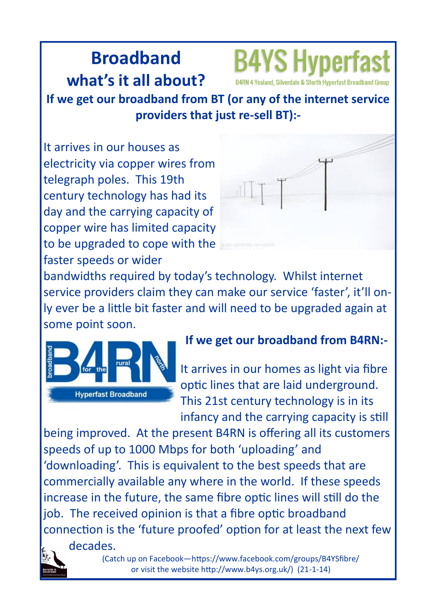## **Broadband what's it all about?**



4 Yealand, Silverdale & Storth Hyperfast Broadband Group

**If we get our broadband from BT (or any of the internet service providers that just re-sell BT):-**

It arrives in our houses as electricity via copper wires from telegraph poles. This 19th century technology has had its day and the carrying capacity of copper wire has limited capacity to be upgraded to cope with the faster speeds or wider



bandwidths required by today's technology. Whilst internet service providers claim they can make our service 'faster', it'll only ever be a little bit faster and will need to be upgraded again at some point soon.



### **If we get our broadband from B4RN:-**

It arrives in our homes as light via fibre optic lines that are laid underground. This 21st century technology is in its infancy and the carrying capacity is still

being improved. At the present B4RN is offering all its customers speeds of up to 1000 Mbps for both 'uploading' and 'downloading'. This is equivalent to the best speeds that are commercially available any where in the world. If these speeds increase in the future, the same fibre optic lines will still do the job. The received opinion is that a fibre optic broadband connection is the 'future proofed' option for at least the next few decades.



(Catch up on Facebook—https://www.facebook.com/groups/B4YSfibre/ or visit the website http://www.b4ys.org.uk/) (21-1-14)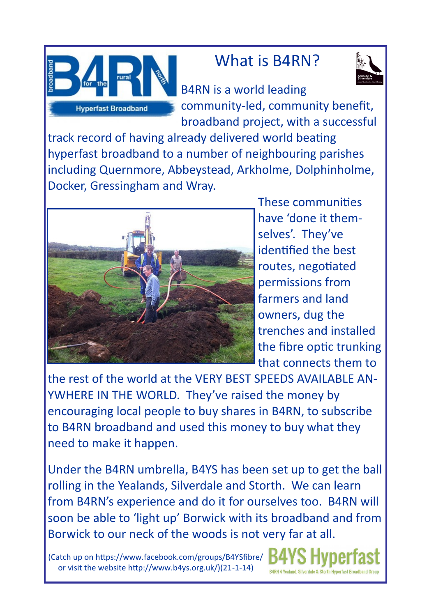

## What is B4RN?



B4RN is a world leading community-led, community benefit, broadband project, with a successful

track record of having already delivered world beating hyperfast broadband to a number of neighbouring parishes including Quernmore, Abbeystead, Arkholme, Dolphinholme, Docker, Gressingham and Wray.



These communities have 'done it themselves'. They've identified the best routes, negotiated permissions from farmers and land owners, dug the trenches and installed the fibre optic trunking that connects them to

the rest of the world at the VERY BEST SPEEDS AVAILABLE AN-YWHERE IN THE WORLD. They've raised the money by encouraging local people to buy shares in B4RN, to subscribe to B4RN broadband and used this money to buy what they need to make it happen.

Under the B4RN umbrella, B4YS has been set up to get the ball rolling in the Yealands, Silverdale and Storth. We can learn from B4RN's experience and do it for ourselves too. B4RN will soon be able to 'light up' Borwick with its broadband and from Borwick to our neck of the woods is not very far at all.

(Catch up on https://www.facebook.com/groups/B4YSfibre/ or visit the website http://www.b4ys.org.uk/)(21-1-14)

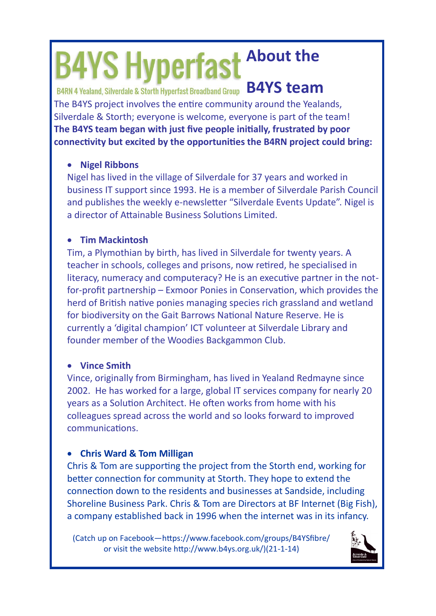# **B4YS Hyperfast About the**

B4RN 4 Yealand, Silverdale & Storth Hyperfast Broadband Group **B4YS team** 

The B4YS project involves the entire community around the Yealands, Silverdale & Storth; everyone is welcome, everyone is part of the team! **The B4YS team began with just five people initially, frustrated by poor connectivity but excited by the opportunities the B4RN project could bring:**

#### **Nigel Ribbons**

Nigel has lived in the village of Silverdale for 37 years and worked in business IT support since 1993. He is a member of Silverdale Parish Council and publishes the weekly e-newsletter "Silverdale Events Update". Nigel is a director of Attainable Business Solutions Limited.

#### **Tim Mackintosh**

Tim, a Plymothian by birth, has lived in Silverdale for twenty years. A teacher in schools, colleges and prisons, now retired, he specialised in literacy, numeracy and computeracy? He is an executive partner in the notfor-profit partnership – Exmoor Ponies in Conservation, which provides the herd of British native ponies managing species rich grassland and wetland for biodiversity on the Gait Barrows National Nature Reserve. He is currently a 'digital champion' ICT volunteer at Silverdale Library and founder member of the Woodies Backgammon Club.

#### **Vince Smith**

Vince, originally from Birmingham, has lived in Yealand Redmayne since 2002. He has worked for a large, global IT services company for nearly 20 years as a Solution Architect. He often works from home with his colleagues spread across the world and so looks forward to improved communications.

#### **Chris Ward & Tom Milligan**

Chris & Tom are supporting the project from the Storth end, working for better connection for community at Storth. They hope to extend the connection down to the residents and businesses at Sandside, including Shoreline Business Park. Chris & Tom are Directors at BF Internet (Big Fish), a company established back in 1996 when the internet was in its infancy.

(Catch up on Facebook—https://www.facebook.com/groups/B4YSfibre/ or visit the website http://www.b4ys.org.uk/)(21-1-14)